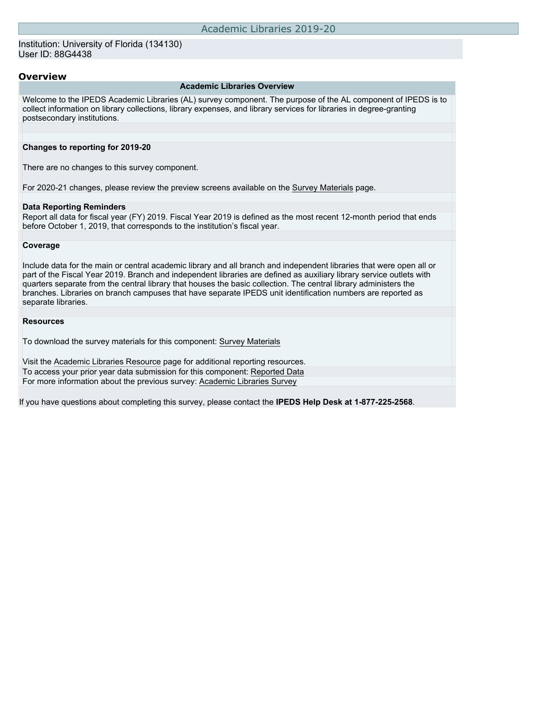### Institution: University of Florida (134130) User ID: 88G4438

### **Overview**

#### **Academic Libraries Overview**

Welcome to the IPEDS Academic Libraries (AL) survey component. The purpose of the AL component of IPEDS is to collect information on library collections, library expenses, and library services for libraries in degree-granting postsecondary institutions.

#### **Changes to reporting for 2019-20**

There are no changes to this survey component.

For 2020-21 changes, please review the preview screens available on the [Survey Materials](https://surveys.nces.ed.gov/ipeds/VisIndex.aspx) page.

#### **Data Reporting Reminders**

Report all data for fiscal year (FY) 2019. Fiscal Year 2019 is defined as the most recent 12-month period that ends before October 1, 2019, that corresponds to the institution's fiscal year.

#### **Coverage**

Include data for the main or central academic library and all branch and independent libraries that were open all or part of the Fiscal Year 2019. Branch and independent libraries are defined as auxiliary library service outlets with quarters separate from the central library that houses the basic collection. The central library administers the branches. Libraries on branch campuses that have separate IPEDS unit identification numbers are reported as separate libraries.

#### **Resources**

To download the survey materials for this component: [Survey Materials](https://surveys.nces.ed.gov/ipeds/VisIndex.aspx)

Visit the [Academic Libraries Resource](https://nces.ed.gov/ipeds/report-your-data/resource-center-academic-libraries) page for additional reporting resources. To access your prior year data submission for this component: [Reported Data](http://192.168.102.153/ipeds/PriorYearDataRedirect.aspx?survey_id=15) For more information about the previous survey: [Academic Libraries Survey](https://nces.ed.gov/surveys/libraries/academic.asp)

If you have questions about completing this survey, please contact the **IPEDS Help Desk at 1-877-225-2568**.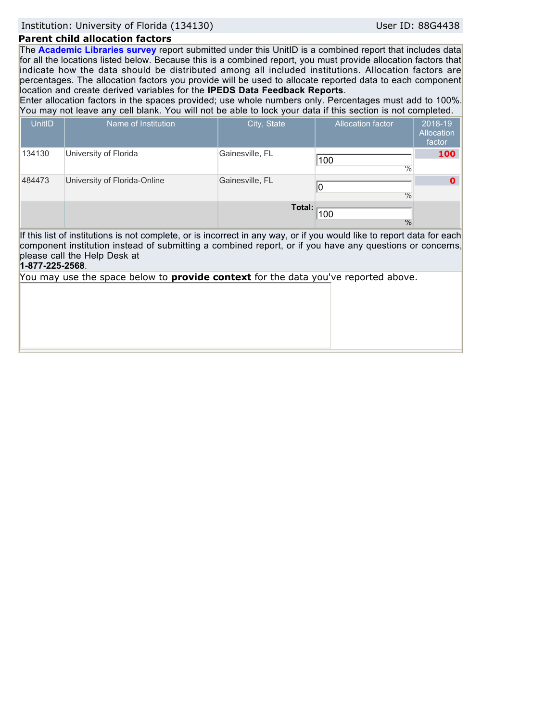Institution: University of Florida (134130) User ID: 88G4438

## **Parent child allocation factors**

The **Academic Libraries survey** report submitted under this UnitID is a combined report that includes data for all the locations listed below. Because this is a combined report, you must provide allocation factors that indicate how the data should be distributed among all included institutions. Allocation factors are percentages. The allocation factors you provide will be used to allocate reported data to each component location and create derived variables for the **IPEDS Data Feedback Reports**.

Enter allocation factors in the spaces provided; use whole numbers only. Percentages must add to 100%. You may not leave any cell blank. You will not be able to lock your data if this section is not completed.

| UnitID          | Name of Institution                                                                                                                                                                                                                                                | City, State     | <b>Allocation factor</b> | 2018-19<br><b>Allocation</b><br>factor |
|-----------------|--------------------------------------------------------------------------------------------------------------------------------------------------------------------------------------------------------------------------------------------------------------------|-----------------|--------------------------|----------------------------------------|
| 134130          | University of Florida                                                                                                                                                                                                                                              | Gainesville, FL | 100<br>$\frac{0}{0}$     | 100                                    |
| 484473          | University of Florida-Online                                                                                                                                                                                                                                       | Gainesville, FL | $\frac{0}{0}$            | Ω                                      |
|                 |                                                                                                                                                                                                                                                                    | Total:          | 100<br>$\frac{0}{0}$     |                                        |
| 1-877-225-2568. | If this list of institutions is not complete, or is incorrect in any way, or if you would like to report data for each<br>component institution instead of submitting a combined report, or if you have any questions or concerns,<br>please call the Help Desk at |                 |                          |                                        |
|                 | You may use the space below to <b>provide context</b> for the data you've reported above.                                                                                                                                                                          |                 |                          |                                        |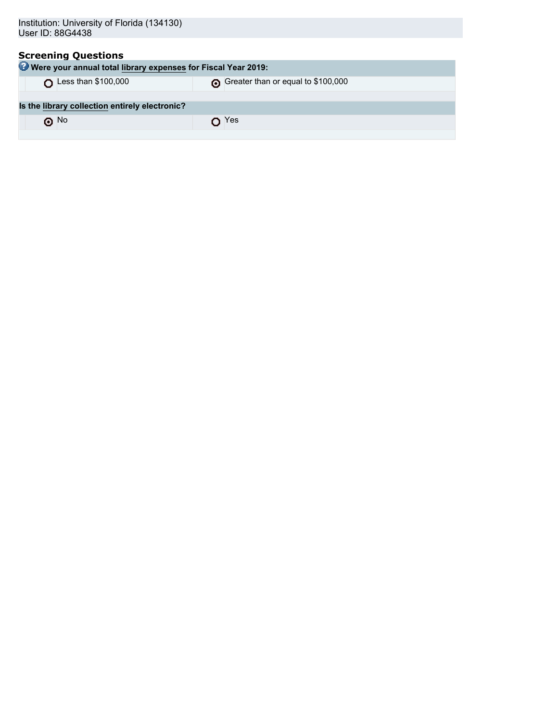| Institution: University of Florida (134130)<br>User ID: 88G4438                             |                                    |
|---------------------------------------------------------------------------------------------|------------------------------------|
| <b>Screening Questions</b><br>Were your annual total library expenses for Fiscal Year 2019: |                                    |
| Less than \$100,000                                                                         | Greater than or equal to \$100,000 |
| Is the library collection entirely electronic?                                              |                                    |
| $\odot$ No                                                                                  | Yes A                              |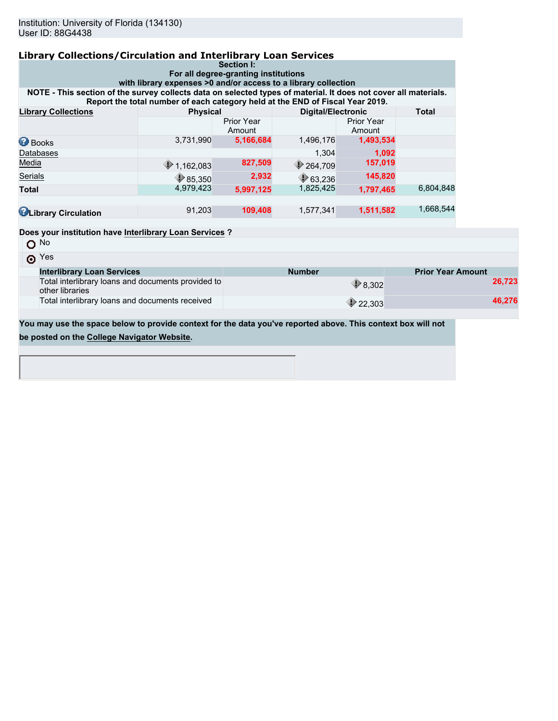| <b>Library Collections/Circulation and Interlibrary Loan Services</b>                                                                                                             |                                                                               | Section I:                  |                           |                             |                          |        |  |
|-----------------------------------------------------------------------------------------------------------------------------------------------------------------------------------|-------------------------------------------------------------------------------|-----------------------------|---------------------------|-----------------------------|--------------------------|--------|--|
| For all degree-granting institutions                                                                                                                                              |                                                                               |                             |                           |                             |                          |        |  |
| with library expenses >0 and/or access to a library collection<br>NOTE - This section of the survey collects data on selected types of material. It does not cover all materials. |                                                                               |                             |                           |                             |                          |        |  |
|                                                                                                                                                                                   | Report the total number of each category held at the END of Fiscal Year 2019. |                             |                           |                             |                          |        |  |
| <b>Library Collections</b>                                                                                                                                                        | <b>Physical</b>                                                               |                             | <b>Digital/Electronic</b> |                             | <b>Total</b>             |        |  |
|                                                                                                                                                                                   |                                                                               | <b>Prior Year</b><br>Amount |                           | <b>Prior Year</b><br>Amount |                          |        |  |
| <b>Books</b>                                                                                                                                                                      | 3,731,990                                                                     | 5,166,684                   | 1,496,176                 | 1,493,534                   |                          |        |  |
| Databases                                                                                                                                                                         |                                                                               |                             | 1,304                     | 1,092                       |                          |        |  |
| Media                                                                                                                                                                             | $\bigcirc$ 1,162,083                                                          | 827,509                     | 264,709                   | 157,019                     |                          |        |  |
| Serials                                                                                                                                                                           | $\bigcirc$ 85,350                                                             | 2,932                       | $\bigcirc$ 63,236         | 145,820                     |                          |        |  |
| <b>Total</b>                                                                                                                                                                      | 4,979,423                                                                     | 5,997,125                   | 1,825,425                 | 1,797,465                   | 6,804,848                |        |  |
| <b>U</b> Library Circulation                                                                                                                                                      | 91,203                                                                        | 109,408                     | 1,577,341                 | 1,511,582                   | 1,668,544                |        |  |
| Does your institution have Interlibrary Loan Services ?                                                                                                                           |                                                                               |                             |                           |                             |                          |        |  |
| $O$ No                                                                                                                                                                            |                                                                               |                             |                           |                             |                          |        |  |
| $\odot$ Yes                                                                                                                                                                       |                                                                               |                             |                           |                             |                          |        |  |
| <b>Interlibrary Loan Services</b>                                                                                                                                                 |                                                                               |                             | <b>Number</b>             |                             | <b>Prior Year Amount</b> |        |  |
| Total interlibrary loans and documents provided to<br>other libraries                                                                                                             |                                                                               |                             |                           | $\bigcirc$ 8.302            |                          | 26,723 |  |
| Total interlibrary loans and documents received                                                                                                                                   |                                                                               |                             |                           | $\triangleright$ 22,303     |                          | 46.276 |  |

**You may use the space below to provide context for the data you've reported above. This context box will not**

**be posted on the [College Navigator Website.](http://nces.ed.gov/collegenavigator/)**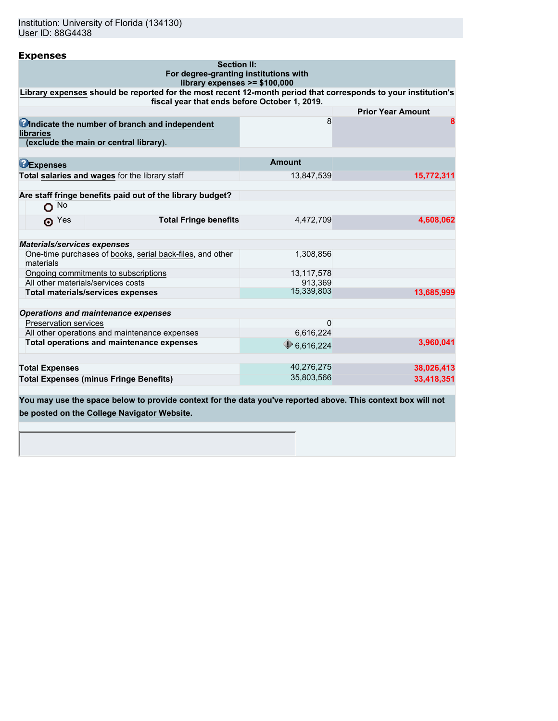| <b>Expenses</b>                                                                                                                                                 |                      |                          |
|-----------------------------------------------------------------------------------------------------------------------------------------------------------------|----------------------|--------------------------|
| <b>Section II:</b><br>For degree-granting institutions with                                                                                                     |                      |                          |
| library expenses >= \$100,000                                                                                                                                   |                      |                          |
| Library expenses should be reported for the most recent 12-month period that corresponds to your institution's<br>fiscal year that ends before October 1, 2019. |                      |                          |
|                                                                                                                                                                 |                      | <b>Prior Year Amount</b> |
| Undicate the number of branch and independent<br><b>libraries</b>                                                                                               | 8                    | 8                        |
| (exclude the main or central library).                                                                                                                          |                      |                          |
| <b>BExpenses</b>                                                                                                                                                | <b>Amount</b>        |                          |
| Total salaries and wages for the library staff                                                                                                                  | 13,847,539           | 15,772,311               |
| Are staff fringe benefits paid out of the library budget?                                                                                                       |                      |                          |
| No<br>O                                                                                                                                                         |                      |                          |
| <b>Total Fringe benefits</b><br>$\odot$ Yes                                                                                                                     | 4.472.709            | 4,608,062                |
| <b>Materials/services expenses</b>                                                                                                                              |                      |                          |
| One-time purchases of books, serial back-files, and other<br>materials                                                                                          | 1,308,856            |                          |
| Ongoing commitments to subscriptions                                                                                                                            | 13,117,578           |                          |
| All other materials/services costs                                                                                                                              | 913,369              |                          |
| <b>Total materials/services expenses</b>                                                                                                                        | 15,339,803           | 13,685,999               |
| <b>Operations and maintenance expenses</b>                                                                                                                      |                      |                          |
| <b>Preservation services</b>                                                                                                                                    | 0                    |                          |
| All other operations and maintenance expenses                                                                                                                   | 6,616,224            |                          |
| Total operations and maintenance expenses                                                                                                                       | $\bigcirc$ 6,616,224 | 3,960,041                |
|                                                                                                                                                                 |                      |                          |
| <b>Total Expenses</b>                                                                                                                                           | 40,276,275           | 38,026,413               |
| <b>Total Expenses (minus Fringe Benefits)</b>                                                                                                                   | 35,803,566           | 33,418,351               |

**You may use the space below to provide context for the data you've reported above. This context box will not be posted on the [College Navigator Website.](http://nces.ed.gov/collegenavigator/)**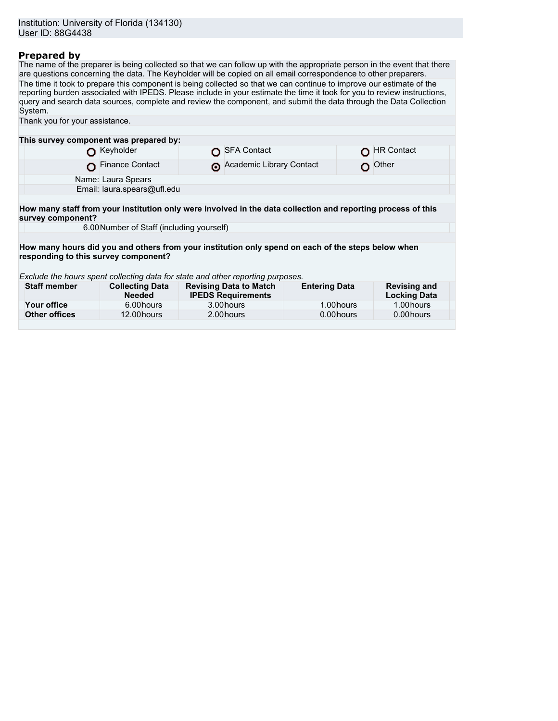## **Prepared by**

The name of the preparer is being collected so that we can follow up with the appropriate person in the event that there are questions concerning the data. The Keyholder will be copied on all email correspondence to other preparers. The time it took to prepare this component is being collected so that we can continue to improve our estimate of the reporting burden associated with IPEDS. Please include in your estimate the time it took for you to review instructions, query and search data sources, complete and review the component, and submit the data through the Data Collection System.

| Thank you for your assistance.                                                                                                    |                                           |                                                            |                      |                                            |
|-----------------------------------------------------------------------------------------------------------------------------------|-------------------------------------------|------------------------------------------------------------|----------------------|--------------------------------------------|
|                                                                                                                                   |                                           |                                                            |                      |                                            |
| This survey component was prepared by:                                                                                            |                                           |                                                            |                      |                                            |
|                                                                                                                                   | Keyholder                                 | <b>SFA Contact</b>                                         |                      | <b>HR Contact</b>                          |
|                                                                                                                                   | <b>Finance Contact</b>                    | Academic Library Contact                                   |                      | Other                                      |
|                                                                                                                                   | Name: Laura Spears                        |                                                            |                      |                                            |
|                                                                                                                                   | Email: laura.spears@ufl.edu               |                                                            |                      |                                            |
|                                                                                                                                   |                                           |                                                            |                      |                                            |
| How many staff from your institution only were involved in the data collection and reporting process of this<br>survey component? |                                           |                                                            |                      |                                            |
|                                                                                                                                   | 6.00 Number of Staff (including yourself) |                                                            |                      |                                            |
|                                                                                                                                   |                                           |                                                            |                      |                                            |
| How many hours did you and others from your institution only spend on each of the steps below when                                |                                           |                                                            |                      |                                            |
| responding to this survey component?                                                                                              |                                           |                                                            |                      |                                            |
|                                                                                                                                   |                                           |                                                            |                      |                                            |
| Exclude the hours spent collecting data for state and other reporting purposes.                                                   |                                           |                                                            |                      |                                            |
| <b>Staff member</b>                                                                                                               | <b>Collecting Data</b><br><b>Needed</b>   | <b>Revising Data to Match</b><br><b>IPEDS Requirements</b> | <b>Entering Data</b> | <b>Revising and</b><br><b>Locking Data</b> |
| Your office                                                                                                                       | 6.00 hours                                | 3.00 hours                                                 | 1.00 hours           | 1.00 hours                                 |
| <b>Other offices</b>                                                                                                              | 12.00 hours                               | 2.00 hours                                                 | 0.00 hours           | 0.00 hours                                 |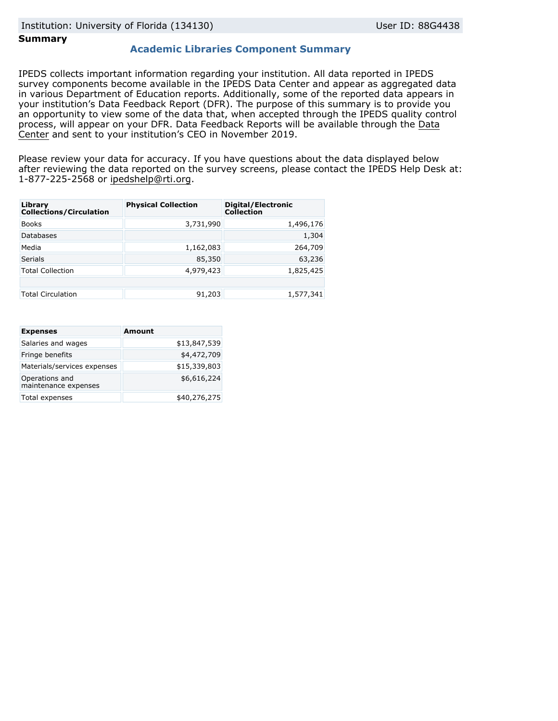### **Summary**

### **Academic Libraries Component Summary**

IPEDS collects important information regarding your institution. All data reported in IPEDS survey components become available in the IPEDS Data Center and appear as aggregated data in various Department of Education reports. Additionally, some of the reported data appears in your institution's Data Feedback Report (DFR). The purpose of this summary is to provide you an opportunity to view some of the data that, when accepted through the IPEDS quality control process, will appear on your DFR. Data Feedback Reports will be available through the [Data](https://nces.ed.gov/ipeds/use-the-data) [Center](https://nces.ed.gov/ipeds/use-the-data) and sent to your institution's CEO in November 2019.

Please review your data for accuracy. If you have questions about the data displayed below after reviewing the data reported on the survey screens, please contact the IPEDS Help Desk at: 1-877-225-2568 or ipedshelp@rti.org.

| Library<br><b>Collections/Circulation</b> | <b>Physical Collection</b> | Digital/Electronic<br><b>Collection</b> |
|-------------------------------------------|----------------------------|-----------------------------------------|
| <b>Books</b>                              | 3,731,990                  | 1,496,176                               |
| <b>Databases</b>                          |                            | 1,304                                   |
| Media                                     | 1,162,083                  | 264,709                                 |
| <b>Serials</b>                            | 85,350                     | 63,236                                  |
| <b>Total Collection</b>                   | 4,979,423                  | 1,825,425                               |
|                                           |                            |                                         |
| <b>Total Circulation</b>                  | 91,203                     | 1,577,341                               |

| <b>Expenses</b>                        | <b>Amount</b> |
|----------------------------------------|---------------|
| Salaries and wages                     | \$13,847,539  |
| Fringe benefits                        | \$4,472,709   |
| Materials/services expenses            | \$15,339,803  |
| Operations and<br>maintenance expenses | \$6,616,224   |
| Total expenses                         | \$40,276,275  |